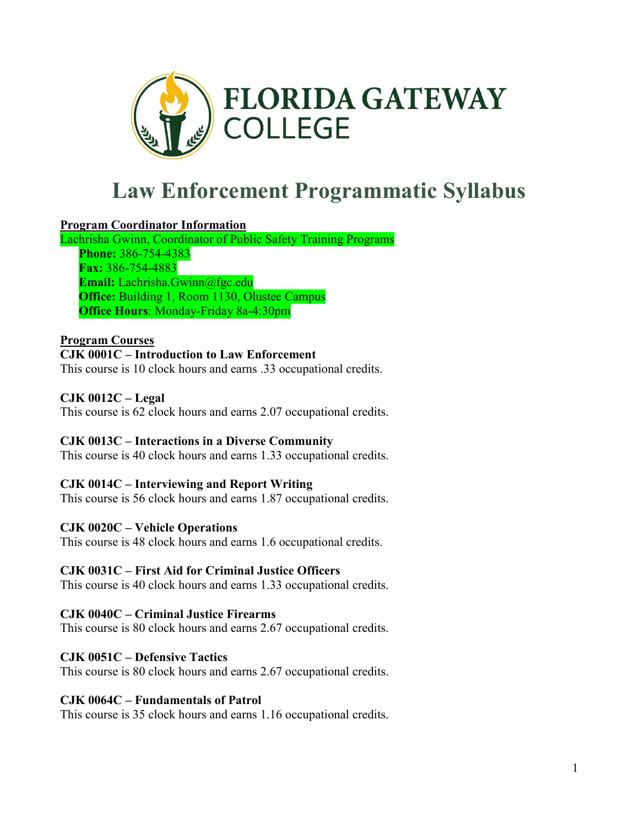

# **Law Enforcement Programmatic Syllabus**

# **Program Coordinator Information**

Lachrisha Gwinn, Coordinator of Public Safety Training Programs **Phone:** 386-754-4383 **Fax:** 386-754-4883 **Email:** Lachrisha.Gwinn@fgc.edu **Office:** Building 1, Room 1130, Olustee Campus **Office Hours**: Monday-Friday 8a-4:30pm

#### **Program Courses**

**CJK 0001C – Introduction to Law Enforcement** This course is 10 clock hours and earns .33 occupational credits.

# **CJK 0012C – Legal**

This course is 62 clock hours and earns 2.07 occupational credits.

# **CJK 0013C – Interactions in a Diverse Community**

This course is 40 clock hours and earns 1.33 occupational credits.

# **CJK 0014C – Interviewing and Report Writing**

This course is 56 clock hours and earns 1.87 occupational credits.

# **CJK 0020C – Vehicle Operations**

This course is 48 clock hours and earns 1.6 occupational credits.

# **CJK 0031C – First Aid for Criminal Justice Officers**

This course is 40 clock hours and earns 1.33 occupational credits.

# **CJK 0040C – Criminal Justice Firearms**

This course is 80 clock hours and earns 2.67 occupational credits.

# **CJK 0051C – Defensive Tactics**

This course is 80 clock hours and earns 2.67 occupational credits.

# **CJK 0064C – Fundamentals of Patrol**

This course is 35 clock hours and earns 1.16 occupational credits.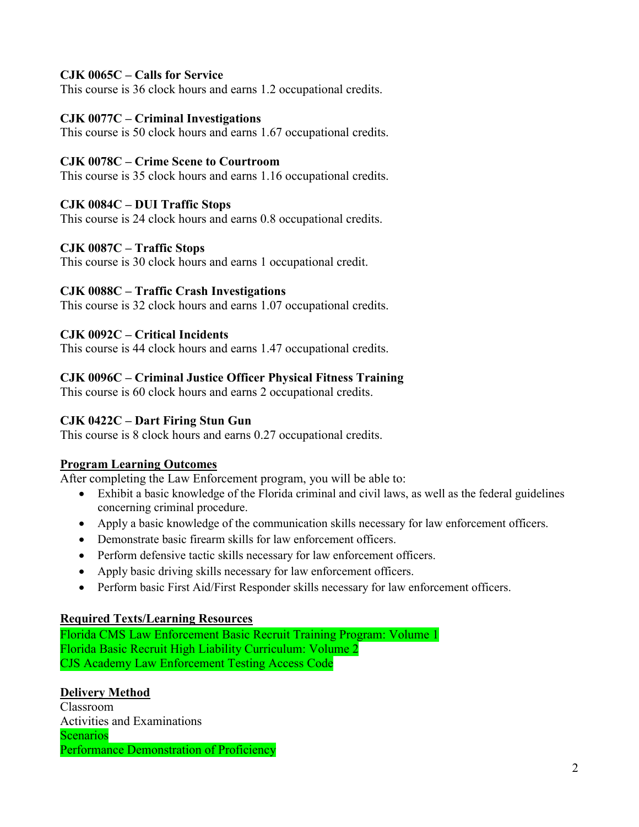# **CJK 0065C – Calls for Service**

This course is 36 clock hours and earns 1.2 occupational credits.

# **CJK 0077C – Criminal Investigations**

This course is 50 clock hours and earns 1.67 occupational credits.

### **CJK 0078C – Crime Scene to Courtroom**

This course is 35 clock hours and earns 1.16 occupational credits.

#### **CJK 0084C – DUI Traffic Stops**

This course is 24 clock hours and earns 0.8 occupational credits.

#### **CJK 0087C – Traffic Stops**

This course is 30 clock hours and earns 1 occupational credit.

#### **CJK 0088C – Traffic Crash Investigations**

This course is 32 clock hours and earns 1.07 occupational credits.

#### **CJK 0092C – Critical Incidents**

This course is 44 clock hours and earns 1.47 occupational credits.

# **CJK 0096C – Criminal Justice Officer Physical Fitness Training**

This course is 60 clock hours and earns 2 occupational credits.

#### **CJK 0422C – Dart Firing Stun Gun**

This course is 8 clock hours and earns 0.27 occupational credits.

#### **Program Learning Outcomes**

After completing the Law Enforcement program, you will be able to:

- Exhibit a basic knowledge of the Florida criminal and civil laws, as well as the federal guidelines concerning criminal procedure.
- Apply a basic knowledge of the communication skills necessary for law enforcement officers.
- Demonstrate basic firearm skills for law enforcement officers.
- Perform defensive tactic skills necessary for law enforcement officers.
- Apply basic driving skills necessary for law enforcement officers.
- Perform basic First Aid/First Responder skills necessary for law enforcement officers.

# **Required Texts/Learning Resources**

Florida CMS Law Enforcement Basic Recruit Training Program: Volume 1 Florida Basic Recruit High Liability Curriculum: Volume 2 CJS Academy Law Enforcement Testing Access Code

#### **Delivery Method**

Classroom Activities and Examinations Scenarios Performance Demonstration of Proficiency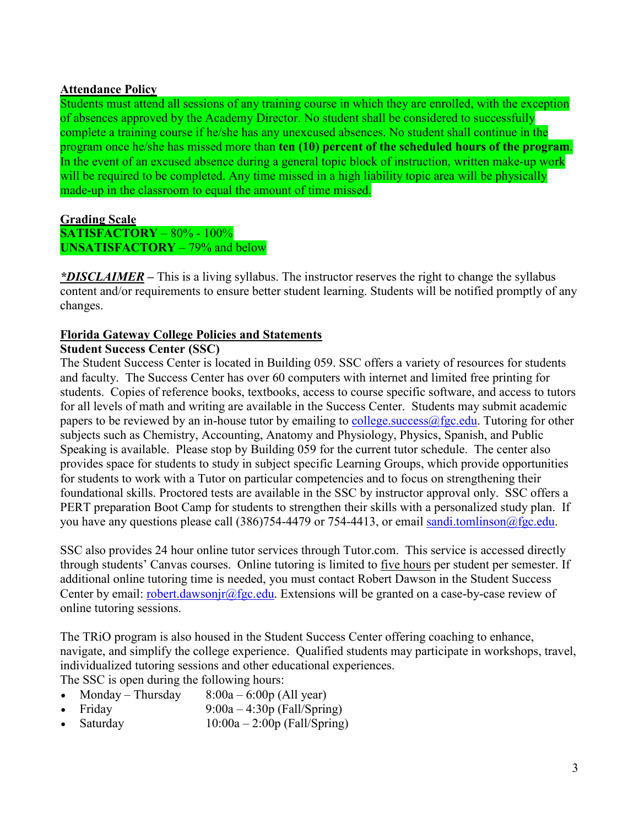#### **Attendance Policy**

Students must attend all sessions of any training course in which they are enrolled, with the exception of absences approved by the Academy Director. No student shall be considered to successfully complete a training course if he/she has any unexcused absences. No student shall continue in the program once he/she has missed more than **ten (10) percent of the scheduled hours of the program**. In the event of an excused absence during a general topic block of instruction, written make-up work will be required to be completed. Any time missed in a high liability topic area will be physically made-up in the classroom to equal the amount of time missed.

# **Grading Scale**

**SATISFACTORY** – 80% - 100% **UNSATISFACTORY** – 79% and below

*\*DISCLAIMER –* This is a living syllabus. The instructor reserves the right to change the syllabus content and/or requirements to ensure better student learning. Students will be notified promptly of any changes.

#### **Florida Gateway College Policies and Statements**

#### **Student Success Center (SSC)**

The Student Success Center is located in Building 059. SSC offers a variety of resources for students and faculty. The Success Center has over 60 computers with internet and limited free printing for students. Copies of reference books, textbooks, access to course specific software, and access to tutors for all levels of math and writing are available in the Success Center. Students may submit academic papers to be reviewed by an in-house tutor by emailing to college success  $\omega$  fgc edu. Tutoring for other subjects such as Chemistry, Accounting, Anatomy and Physiology, Physics, Spanish, and Public Speaking is available. Please stop by Building 059 for the current tutor schedule. The center also provides space for students to study in subject specific Learning Groups, which provide opportunities for students to work with a Tutor on particular competencies and to focus on strengthening their foundational skills. Proctored tests are available in the SSC by instructor approval only. SSC offers a PERT preparation Boot Camp for students to strengthen their skills with a personalized study plan. If you have any questions please call (386)754-4479 or 754-4413, or email [sandi.tomlinson@fgc.edu.](mailto:sandi.tomlinson@fgc.edu)

SSC also provides 24 hour online tutor services through Tutor.com. This service is accessed directly through students' Canvas courses. Online tutoring is limited to five hours per student per semester. If additional online tutoring time is needed, you must contact Robert Dawson in the Student Success Center by email: [robert.dawsonjr@fgc.edu.](mailto:robert.dawsonjr@fgc.edu) Extensions will be granted on a case-by-case review of online tutoring sessions.

The TRiO program is also housed in the Student Success Center offering coaching to enhance, navigate, and simplify the college experience. Qualified students may participate in workshops, travel, individualized tutoring sessions and other educational experiences.

The SSC is open during the following hours:

- Monday Thursday  $8:00a 6:00p$  (All year)
- Friday 9:00a 4:30p (Fall/Spring)
- Saturday  $10:00a 2:00p$  (Fall/Spring)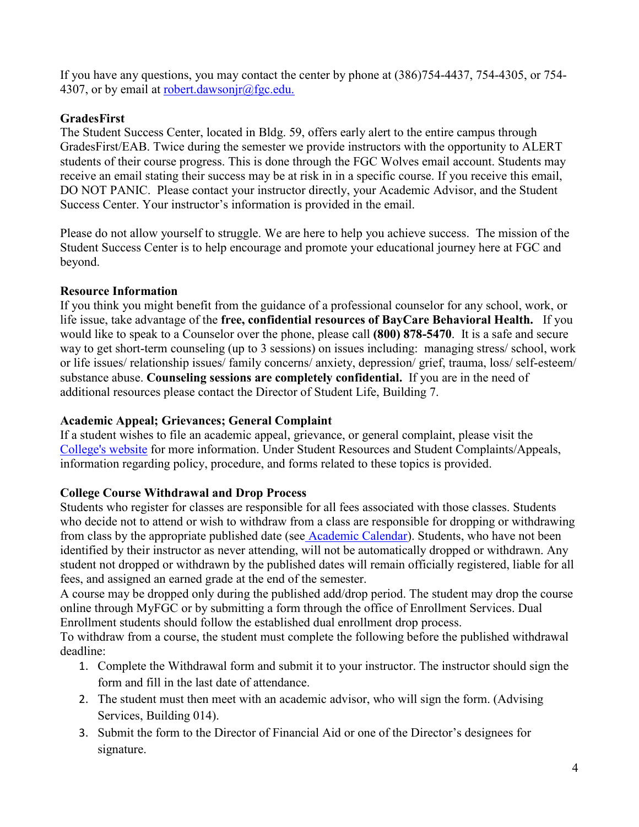If you have any questions, you may contact the center by phone at (386)754-4437, 754-4305, or 754 4307, or by email at [robert.dawsonjr@fgc.edu.](mailto:robert.dawsonjr@fgc.edu)

# **GradesFirst**

The Student Success Center, located in Bldg. 59, offers early alert to the entire campus through GradesFirst/EAB. Twice during the semester we provide instructors with the opportunity to ALERT students of their course progress. This is done through the FGC Wolves email account. Students may receive an email stating their success may be at risk in in a specific course. If you receive this email, DO NOT PANIC. Please contact your instructor directly, your Academic Advisor, and the Student Success Center. Your instructor's information is provided in the email.

Please do not allow yourself to struggle. We are here to help you achieve success. The mission of the Student Success Center is to help encourage and promote your educational journey here at FGC and beyond.

# **Resource Information**

If you think you might benefit from the guidance of a professional counselor for any school, work, or life issue, take advantage of the **free, confidential resources of BayCare Behavioral Health.** If you would like to speak to a Counselor over the phone, please call **(800) 878-5470**. It is a safe and secure way to get short-term counseling (up to 3 sessions) on issues including: managing stress/ school, work or life issues/ relationship issues/ family concerns/ anxiety, depression/ grief, trauma, loss/ self-esteem/ substance abuse. **Counseling sessions are completely confidential.** If you are in the need of additional resources please contact the Director of Student Life, Building 7.

# **Academic Appeal; Grievances; General Complaint**

If a student wishes to file an academic appeal, grievance, or general complaint, please visit the [College's website](https://www.fgc.edu/students/student-resources/complaints-appeals/) for more information. Under Student Resources and Student Complaints/Appeals, information regarding policy, procedure, and forms related to these topics is provided.

# **College Course Withdrawal and Drop Process**

Students who register for classes are responsible for all fees associated with those classes. Students who decide not to attend or wish to withdraw from a class are responsible for dropping or withdrawing from class by the appropriate published date (see [Academic Calendar\)](https://www.fgc.edu/students/academic-resources/academic-calendar/). Students, who have not been identified by their instructor as never attending, will not be automatically dropped or withdrawn. Any student not dropped or withdrawn by the published dates will remain officially registered, liable for all fees, and assigned an earned grade at the end of the semester.

A course may be dropped only during the published add/drop period. The student may drop the course online through MyFGC or by submitting a form through the office of Enrollment Services. Dual Enrollment students should follow the established dual enrollment drop process.

To withdraw from a course, the student must complete the following before the published withdrawal deadline:

- 1. Complete the Withdrawal form and submit it to your instructor. The instructor should sign the form and fill in the last date of attendance.
- 2. The student must then meet with an academic advisor, who will sign the form. (Advising Services, Building 014).
- 3. Submit the form to the Director of Financial Aid or one of the Director's designees for signature.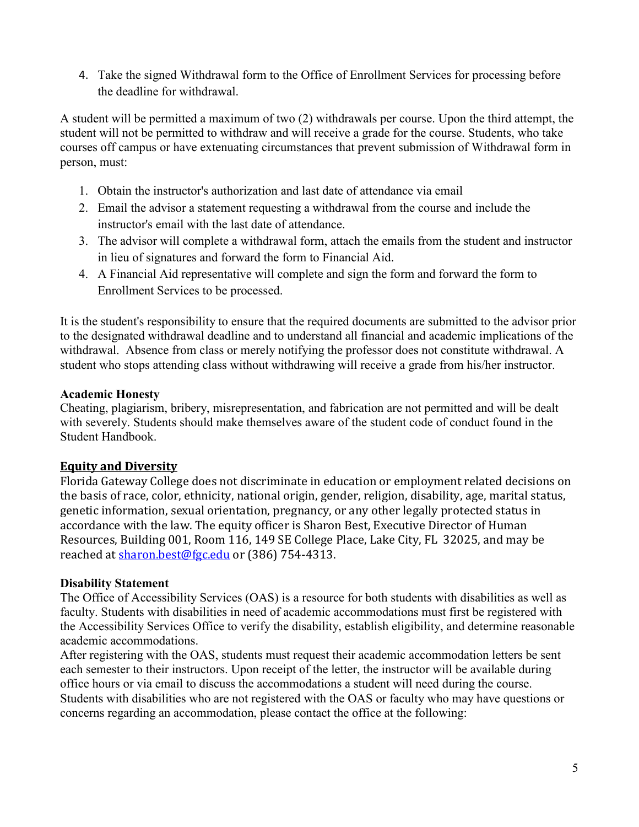4. Take the signed Withdrawal form to the Office of Enrollment Services for processing before the deadline for withdrawal.

A student will be permitted a maximum of two (2) withdrawals per course. Upon the third attempt, the student will not be permitted to withdraw and will receive a grade for the course. Students, who take courses off campus or have extenuating circumstances that prevent submission of Withdrawal form in person, must:

- 1. Obtain the instructor's authorization and last date of attendance via email
- 2. Email the advisor a statement requesting a withdrawal from the course and include the instructor's email with the last date of attendance.
- 3. The advisor will complete a withdrawal form, attach the emails from the student and instructor in lieu of signatures and forward the form to Financial Aid.
- 4. A Financial Aid representative will complete and sign the form and forward the form to Enrollment Services to be processed.

It is the student's responsibility to ensure that the required documents are submitted to the advisor prior to the designated withdrawal deadline and to understand all financial and academic implications of the withdrawal. Absence from class or merely notifying the professor does not constitute withdrawal. A student who stops attending class without withdrawing will receive a grade from his/her instructor.

# **Academic Honesty**

Cheating, plagiarism, bribery, misrepresentation, and fabrication are not permitted and will be dealt with severely. Students should make themselves aware of the student code of conduct found in the Student Handbook.

# **Equity and Diversity**

Florida Gateway College does not discriminate in education or employment related decisions on the basis of race, color, ethnicity, national origin, gender, religion, disability, age, marital status, genetic information, sexual orientation, pregnancy, or any other legally protected status in accordance with the law. The equity officer is Sharon Best, Executive Director of Human Resources, Building 001, Room 116, 149 SE College Place, Lake City, FL 32025, and may be reached at [sharon.best@fgc.edu](mailto:sharon.best@fgc.edu) or (386) 754-4313.

# **Disability Statement**

The Office of Accessibility Services (OAS) is a resource for both students with disabilities as well as faculty. Students with disabilities in need of academic accommodations must first be registered with the Accessibility Services Office to verify the disability, establish eligibility, and determine reasonable academic accommodations.

After registering with the OAS, students must request their academic accommodation letters be sent each semester to their instructors. Upon receipt of the letter, the instructor will be available during office hours or via email to discuss the accommodations a student will need during the course. Students with disabilities who are not registered with the OAS or faculty who may have questions or concerns regarding an accommodation, please contact the office at the following: